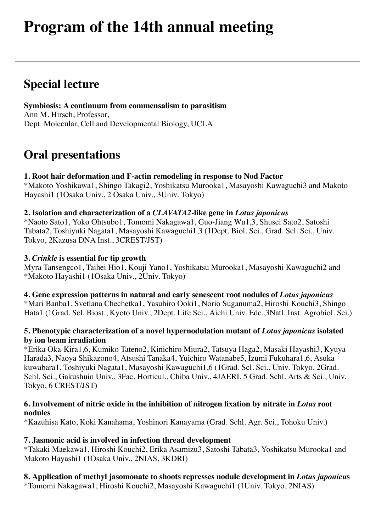# **Program of the 14th annual meeting**

## **Special lecture**

**Symbiosis: A continuum from commensalism to parasitism** Ann M. Hirsch, Professor, Dept. Molecular, Cell and Developmental Biology, UCLA

## **Oral presentations**

#### **1. Root hair deformation and F-actin remodeling in response to Nod Factor**

\*Makoto Yoshikawa1, Shingo Takagi2, Yoshikatsu Murooka1, Masayoshi Kawaguchi3 and Makoto Hayashi1 (1Osaka Univ., 2 Osaka Univ., 3Univ. Tokyo)

#### **2. Isolation and characterization of a** *CLAVATA2***-like gene in** *Lotus japonicus*

\*Naoto Sato1, Yoko Ohtsubo1, Tomomi Nakagawa1, Guo-Jiang Wu1,3, Shusei Sato2, Satoshi Tabata2, Toshiyuki Nagata1, Masayoshi Kawaguchi1,3 (1Dept. Biol. Sci., Grad. Scl. Sci., Univ. Tokyo, 2Kazusa DNA Inst., 3CREST/JST)

#### **3.** *Crinkle* **is essential for tip growth**

Myra Tansengco1, Taihei Hio1, Kouji Yano1, Yoshikatsu Murooka1, Masayoshi Kawaguchi2 and \*Makoto Hayashi1 (1Osaka Univ., 2Univ. Tokyo)

#### **4. Gene expression patterns in natural and early senescent root nodules of** *Lotus japonicus* \*Mari Banba1, Svetlana Chechetka1, Yasuhiro Ooki1, Norio Suganuma2, Hiroshi Kouchi3, Shingo Hata1 (1Grad. Scl. Biost., Kyoto Univ., 2Dept. Life Sci., Aichi Univ. Edc.,3Natl. Inst. Agrobiol. Sci.)

#### **5. Phenotypic characterization of a novel hypernodulation mutant of** *Lotus japonicus* **isolated by ion beam irradiation**

\*Erika Oka-Kira1,6, Kumiko Tateno2, Kinichiro Miura2, Tatsuya Haga2, Masaki Hayashi3, Kyuya Harada3, Naoya Shikazono4, Atsushi Tanaka4, Yuichiro Watanabe5, Izumi Fukuhara1,6, Asuka kuwabara1, Toshiyuki Nagata1, Masayoshi Kawaguchi1,6 (1Grad. Scl. Sci., Univ. Tokyo, 2Grad. Schl. Sci., Gakushuin Univ., 3Fac. Horticul., Chiba Univ., 4JAERI, 5 Grad. Schl. Arts & Sci., Univ. Tokyo, 6 CREST/JST)

#### **6. Involvement of nitric oxide in the inhibition of nitrogen fixation by nitrate in** *Lotus* **root nodules**

\*Kazuhisa Kato, Koki Kanahama, Yoshinori Kanayama (Grad. Schl. Agr. Sci., Tohoku Univ.)

#### **7. Jasmonic acid is involved in infection thread development**

\*Takaki Maekawa1, Hiroshi Kouchi2, Erika Asamizu3, Satoshi Tabata3, Yoshikatsu Murooka1 and Makoto Hayashi1 (1Osaka Univ., 2NIAS, 3KDRI)

**8. Application of methyl jasomonate to shoots represses nodule development in** *Lotus japonicu***s** \*Tomomi Nakagawa1, Hiroshi Kouchi2, Masayoshi Kawaguchi1 (1Univ. Tokyo, 2NIAS)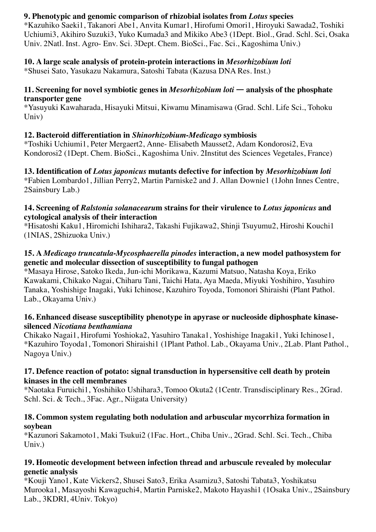#### **9. Phenotypic and genomic comparison of rhizobial isolates from** *Lotus* **species**

\*Kazuhiko Saeki1, Takanori Abe1, Anvita Kumar1, Hirofumi Omori1, Hiroyuki Sawada2, Toshiki Uchiumi3, Akihiro Suzuki3, Yuko Kumada3 and Mikiko Abe3 (1Dept. Biol., Grad. Schl. Sci, Osaka Univ. 2Natl. Inst. Agro- Env. Sci. 3Dept. Chem. BioSci., Fac. Sci., Kagoshima Univ.)

#### **10. A large scale analysis of protein-protein interactions in** *Mesorhizobium loti*

\*Shusei Sato, Yasukazu Nakamura, Satoshi Tabata (Kazusa DNA Res. Inst.)

#### **11. Screening for novel symbiotic genes in** *Mesorhizobium loti* **― analysis of the phosphate transporter gene**

\*Yasuyuki Kawaharada, Hisayuki Mitsui, Kiwamu Minamisawa (Grad. Schl. Life Sci., Tohoku Univ)

#### **12. Bacteroid differentiation in** *Shinorhizobium***-***Medicago* **symbiosis**

\*Toshiki Uchiumi1, Peter Mergaert2, Anne- Elisabeth Mausset2, Adam Kondorosi2, Eva Kondorosi2 (1Dept. Chem. BioSci., Kagoshima Univ. 2Institut des Sciences Vegetales, France)

**13. Identification of** *Lotus japonicus* **mutants defective for infection by** *Mesorhizobium loti* \*Fabien Lombardo1, Jillian Perry2, Martin Parniske2 and J. Allan Downie1 (1John Innes Centre, 2Sainsbury Lab.)

#### **14. Screening of** *Ralstonia solanacearu***m strains for their virulence to** *Lotus japonicus* **and cytological analysis of their interaction**

\*Hisatoshi Kaku1, Hiromichi Ishihara2, Takashi Fujikawa2, Shinji Tsuyumu2, Hiroshi Kouchi1 (1NIAS, 2Shizuoka Univ.)

#### **15. A** *Medicago truncatula***-***Mycosphaerella pinodes* **interaction, a new model pathosystem for genetic and molecular dissection of susceptibility to fungal pathogen**

\*Masaya Hirose, Satoko Ikeda, Jun-ichi Morikawa, Kazumi Matsuo, Natasha Koya, Eriko Kawakami, Chikako Nagai, Chiharu Tani, Taichi Hata, Aya Maeda, Miyuki Yoshihiro, Yasuhiro Tanaka, Yoshishige Inagaki, Yuki Ichinose, Kazuhiro Toyoda, Tomonori Shiraishi (Plant Pathol. Lab., Okayama Univ.)

#### **16. Enhanced disease susceptibility phenotype in apyrase or nucleoside diphosphate kinasesilenced** *Nicotiana benthamiana*

Chikako Nagai1, Hirofumi Yoshioka2, Yasuhiro Tanaka1, Yoshishige Inagaki1, Yuki Ichinose1, \*Kazuhiro Toyoda1, Tomonori Shiraishi1 (1Plant Pathol. Lab., Okayama Univ., 2Lab. Plant Pathol., Nagoya Univ.)

#### **17. Defence reaction of potato: signal transduction in hypersensitive cell death by protein kinases in the cell membranes**

\*Naotaka Furuichi1, Yoshihiko Ushihara3, Tomoo Okuta2 (1Centr. Transdisciplinary Res., 2Grad. Schl. Sci. & Tech., 3Fac. Agr., Niigata University)

#### **18. Common system regulating both nodulation and arbuscular mycorrhiza formation in soybean**

\*Kazunori Sakamoto1, Maki Tsukui2 (1Fac. Hort., Chiba Univ., 2Grad. Schl. Sci. Tech., Chiba Univ.)

#### **19. Homeotic development between infection thread and arbuscule revealed by molecular genetic analysis**

\*Kouji Yano1, Kate Vickers2, Shusei Sato3, Erika Asamizu3, Satoshi Tabata3, Yoshikatsu Murooka1, Masayoshi Kawaguchi4, Martin Parniske2, Makoto Hayashi1 (1Osaka Univ., 2Sainsbury Lab., 3KDRI, 4Univ. Tokyo)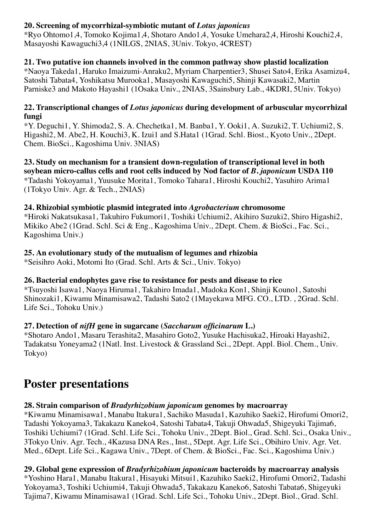#### **20. Screening of mycorrhizal-symbiotic mutant of** *Lotus japonicus*

\*Ryo Ohtomo1,4, Tomoko Kojima1,4, Shotaro Ando1,4, Yosuke Umehara2,4, Hiroshi Kouchi2,4, Masayoshi Kawaguchi3,4 (1NILGS, 2NIAS, 3Univ. Tokyo, 4CREST)

#### **21. Two putative ion channels involved in the common pathway show plastid localization**

\*Naoya Takeda1, Haruko Imaizumi-Anraku2, Myriam Charpentier3, Shusei Sato4, Erika Asamizu4, Satoshi Tabata4, Yoshikatsu Murooka1, Masayoshi Kawaguchi5, Shinji Kawasaki2, Martin Parniske3 and Makoto Hayashi1 (1Osaka Univ., 2NIAS, 3Sainsbury Lab., 4KDRI, 5Univ. Tokyo)

#### **22. Transcriptional changes of** *Lotus japonicus* **during development of arbuscular mycorrhizal fungi**

\*Y. Deguchi1, Y. Shimoda2, S. A. Chechetka1, M. Banba1, Y. Ooki1, A. Suzuki2, T. Uchiumi2, S. Higashi2, M. Abe2, H. Kouchi3, K. Izui1 and S.Hata1 (1Grad. Schl. Biost., Kyoto Univ., 2Dept. Chem. BioSci., Kagoshima Univ. 3NIAS)

**23. Study on mechanism for a transient down-regulation of transcriptional level in both soybean micro-callus cells and root cells induced by Nod factor of** *B***.** *japonicum* **USDA 110** \*Tadashi Yokoyama1, Yuusuke Morita1, Tomoko Tahara1, Hiroshi Kouchi2, Yasuhiro Arima1 (1Tokyo Univ. Agr. & Tech., 2NIAS)

#### **24. Rhizobial symbiotic plasmid integrated into** *Agrobacterium* **chromosome**

\*Hiroki Nakatsukasa1, Takuhiro Fukumori1, Toshiki Uchiumi2, Akihiro Suzuki2, Shiro Higashi2, Mikiko Abe2 (1Grad. Schl. Sci & Eng., Kagoshima Univ., 2Dept. Chem. & BioSci., Fac. Sci., Kagoshima Univ.)

#### **25. An evolutionary study of the mutualism of legumes and rhizobia**

\*Seisihro Aoki, Motomi Ito (Grad. Schl. Arts & Sci., Univ. Tokyo)

#### **26. Bacterial endophytes gave rise to resistance for pests and disease to rice**

\*Tsuyoshi Isawa1, Naoya Hiruma1, Takahiro Imada1, Madoka Kon1, Shinji Kouno1, Satoshi Shinozaki1, Kiwamu Minamisawa2, Tadashi Sato2 (1Mayekawa MFG. CO., LTD. , 2Grad. Schl. Life Sci., Tohoku Univ.)

#### **27. Detection of** *nifH* **gene in sugarcane (***Saccharum officinarum* **L.)**

\*Shotaro Ando1, Masaru Terashita2, Masahiro Goto2, Yusuke Hachisuka2, Hiroaki Hayashi2, Tadakatsu Yoneyama2 (1Natl. Inst. Livestock & Grassland Sci., 2Dept. Appl. Biol. Chem., Univ. Tokyo)

### **Poster presentations**

#### **28. Strain comparison of** *Bradyrhizobium japonicum* **genomes by macroarray**

\*Kiwamu Minamisawa1, Manabu Itakura1, Sachiko Masuda1, Kazuhiko Saeki2, Hirofumi Omori2, Tadashi Yokoyama3, Takakazu Kaneko4, Satoshi Tabata4, Takuji Ohwada5, Shigeyuki Tajima6, Toshiki Uchiumi7 (1Grad. Schl. Life Sci., Tohoku Univ., 2Dept. Biol., Grad. Schl. Sci., Osaka Univ., 3Tokyo Univ. Agr. Tech., 4Kazusa DNA Res., Inst., 5Dept. Agr. Life Sci., Obihiro Univ. Agr. Vet. Med., 6Dept. Life Sci., Kagawa Univ., 7Dept. of Chem. & BioSci., Fac. Sci., Kagoshima Univ.)

**29. Global gene expression of** *Bradyrhizobium japonicum* **bacteroids by macroarray analysis** \*Yoshino Hara1, Manabu Itakura1, Hisayuki Mitsui1, Kazuhiko Saeki2, Hirofumi Omori2, Tadashi Yokoyama3, Toshiki Uchiumi4, Takuji Ohwada5, Takakazu Kaneko6, Satoshi Tabata6, Shigeyuki Tajima7, Kiwamu Minamisawa1 (1Grad. Schl. Life Sci., Tohoku Univ., 2Dept. Biol., Grad. Schl.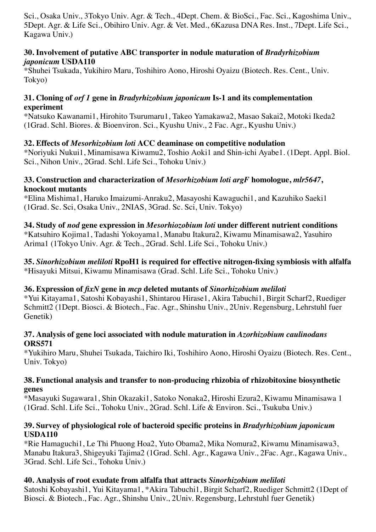Sci., Osaka Univ., 3Tokyo Univ. Agr. & Tech., 4Dept. Chem. & BioSci., Fac. Sci., Kagoshima Univ., 5Dept. Agr. & Life Sci., Obihiro Univ. Agr. & Vet. Med., 6Kazusa DNA Res. Inst., 7Dept. Life Sci., Kagawa Univ.)

#### **30. Involvement of putative ABC transporter in nodule maturation of** *Bradyrhizobium japonicum* **USDA110**

\*Shuhei Tsukada, Yukihiro Maru, Toshihiro Aono, Hiroshi Oyaizu (Biotech. Res. Cent., Univ. Tokyo)

#### **31. Cloning of** *orf 1* **gene in** *Bradyrhizobium japonicum* **Is-1 and its complementation experiment**

\*Natsuko Kawanami1, Hirohito Tsurumaru1, Takeo Yamakawa2, Masao Sakai2, Motoki Ikeda2 (1Grad. Schl. Biores. & Bioenviron. Sci., Kyushu Univ., 2 Fac. Agr., Kyushu Univ.)

#### **32. Effects of** *Mesorhizobium loti* **ACC deaminase on competitive nodulation**

\*Noriyuki Nukui1, Minamisawa Kiwamu2, Toshio Aoki1 and Shin-ichi Ayabe1. (1Dept. Appl. Biol. Sci., Nihon Univ., 2Grad. Schl. Life Sci., Tohoku Univ.)

#### **33. Construction and characterization of** *Mesorhizobium loti argF* **homologue,** *mlr5647***, knockout mutants**

\*Elina Mishima1, Haruko Imaizumi-Anraku2, Masayoshi Kawaguchi1, and Kazuhiko Saeki1 (1Grad. Sc. Sci, Osaka Univ., 2NIAS, 3Grad. Sc. Sci, Univ. Tokyo)

#### **34. Study of** *nod* **gene expression in** *Mesorhiozobium loti* **under different nutrient conditions**

\*Katsuhiro Kojima1, Tadashi Yokoyama1, Manabu Itakura2, Kiwamu Minamisawa2, Yasuhiro Arima1 (1Tokyo Univ. Agr. & Tech., 2Grad. Schl. Life Sci., Tohoku Univ.)

**35.** *Sinorhizobium meliloti* **RpoH1 is required for effective nitrogen-fixing symbiosis with alfalfa** \*Hisayuki Mitsui, Kiwamu Minamisawa (Grad. Schl. Life Sci., Tohoku Univ.)

#### **36. Expression of** *fixN* **gene in** *mcp* **deleted mutants of** *Sinorhizobium meliloti*

\*Yui Kitayama1, Satoshi Kobayashi1, Shintarou Hirase1, Akira Tabuchi1, Birgit Scharf2, Ruediger Schmitt2 (1Dept. Biosci. & Biotech., Fac. Agr., Shinshu Univ., 2Univ. Regensburg, Lehrstuhl fuer Genetik)

#### **37. Analysis of gene loci associated with nodule maturation in** *Azorhizobium caulinodans* **ORS571**

\*Yukihiro Maru, Shuhei Tsukada, Taichiro Iki, Toshihiro Aono, Hiroshi Oyaizu (Biotech. Res. Cent., Univ. Tokyo)

#### **38. Functional analysis and transfer to non-producing rhizobia of rhizobitoxine biosynthetic genes**

\*Masayuki Sugawara1, Shin Okazaki1, Satoko Nonaka2, Hiroshi Ezura2, Kiwamu Minamisawa 1 (1Grad. Schl. Life Sci., Tohoku Univ., 2Grad. Schl. Life & Environ. Sci., Tsukuba Univ.)

#### **39. Survey of physiological role of bacteroid specific proteins in** *Bradyrhizobium japonicum* **USDA110**

\*Rie Hamaguchi1, Le Thi Phuong Hoa2, Yuto Obama2, Mika Nomura2, Kiwamu Minamisawa3, Manabu Itakura3, Shigeyuki Tajima2 (1Grad. Schl. Agr., Kagawa Univ., 2Fac. Agr., Kagawa Univ., 3Grad. Schl. Life Sci., Tohoku Univ.)

#### **40. Analysis of root exudate from alfalfa that attracts** *Sinorhizobium meliloti*

Satoshi Kobayashi1, Yui Kitayama1, \*Akira Tabuchi1, Birgit Scharf2, Ruediger Schmitt2 (1Dept of Biosci. & Biotech., Fac. Agr., Shinshu Univ., 2Univ. Regensburg, Lehrstuhl fuer Genetik)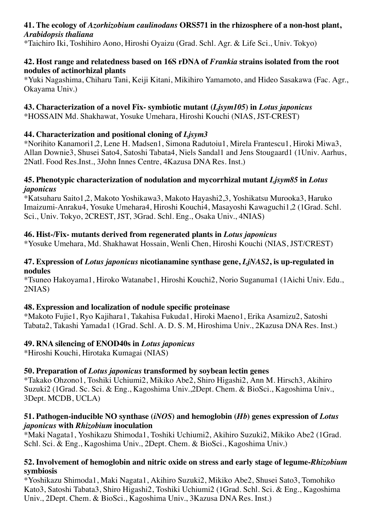#### **41. The ecology of** *Azorhizobium caulinodans* **ORS571 in the rhizosphere of a non-host plant,** *Arabidopsis thaliana*

\*Taichiro Iki, Toshihiro Aono, Hiroshi Oyaizu (Grad. Schl. Agr. & Life Sci., Univ. Tokyo)

#### **42. Host range and relatedness based on 16S rDNA of** *Frankia* **strains isolated from the root nodules of actinorhizal plants**

\*Yuki Nagashima, Chiharu Tani, Keiji Kitani, Mikihiro Yamamoto, and Hideo Sasakawa (Fac. Agr., Okayama Univ.)

#### **43. Characterization of a novel Fix- symbiotic mutant (***Ljsym105***) in** *Lotus japonicus*

\*HOSSAIN Md. Shakhawat, Yosuke Umehara, Hiroshi Kouchi (NIAS, JST-CREST)

#### **44. Characterization and positional cloning of** *Ljsym3*

\*Norihito Kanamori1,2, Lene H. Madsen1, Simona Radutoiu1, Mirela Frantescu1, Hiroki Miwa3, Allan Downie3, Shusei Sato4, Satoshi Tabata4, Niels Sandal1 and Jens Stougaard1 (1Univ. Aarhus, 2Natl. Food Res.Inst., 3John Innes Centre, 4Kazusa DNA Res. Inst.)

#### **45. Phenotypic characterization of nodulation and mycorrhizal mutant** *Ljsym85* **in** *Lotus japonicus*

\*Katsuharu Saito1,2, Makoto Yoshikawa3, Makoto Hayashi2,3, Yoshikatsu Murooka3, Haruko Imaizumi-Anraku4, Yosuke Umehara4, Hiroshi Kouchi4, Masayoshi Kawaguchi1,2 (1Grad. Schl. Sci., Univ. Tokyo, 2CREST, JST, 3Grad. Schl. Eng., Osaka Univ., 4NIAS)

#### **46. Hist-/Fix- mutants derived from regenerated plants in** *Lotus japonicus*

\*Yosuke Umehara, Md. Shakhawat Hossain, Wenli Chen, Hiroshi Kouchi (NIAS, JST/CREST)

#### **47. Expression of** *Lotus japonicus* **nicotianamine synthase gene,** *LjNAS2***, is up-regulated in nodules**

\*Tsuneo Hakoyama1, Hiroko Watanabe1, Hiroshi Kouchi2, Norio Suganuma1 (1Aichi Univ. Edu., 2NIAS)

#### **48. Expression and localization of nodule specific proteinase**

\*Makoto Fujie1, Ryo Kajihara1, Takahisa Fukuda1, Hiroki Maeno1, Erika Asamizu2, Satoshi Tabata2, Takashi Yamada1 (1Grad. Schl. A. D. S. M, Hiroshima Univ., 2Kazusa DNA Res. Inst.)

#### **49. RNA silencing of ENOD40s in** *Lotus japonicus*

\*Hiroshi Kouchi, Hirotaka Kumagai (NIAS)

#### **50. Preparation of** *Lotus japonicus* **transformed by soybean lectin genes**

\*Takako Ohzono1, Toshiki Uchiumi2, Mikiko Abe2, Shiro Higashi2, Ann M. Hirsch3, Akihiro Suzuki2 (1Grad. Sc. Sci. & Eng., Kagoshima Univ.,2Dept. Chem. & BioSci., Kagoshima Univ., 3Dept. MCDB, UCLA)

#### **51. Pathogen-inducible NO synthase (***iNOS***) and hemoglobin (***Hb***) genes expression of** *Lotus japonicus* **with** *Rhizobium* **inoculation**

\*Maki Nagata1, Yoshikazu Shimoda1, Toshiki Uchiumi2, Akihiro Suzuki2, Mikiko Abe2 (1Grad. Schl. Sci. & Eng., Kagoshima Univ., 2Dept. Chem. & BioSci., Kagoshima Univ.)

#### **52. Involvement of hemoglobin and nitric oxide on stress and early stage of legume-***Rhizobium* **symbiosis**

\*Yoshikazu Shimoda1, Maki Nagata1, Akihiro Suzuki2, Mikiko Abe2, Shusei Sato3, Tomohiko Kato3, Satoshi Tabata3, Shiro Higashi2, Toshiki Uchiumi2 (1Grad. Schl. Sci. & Eng., Kagoshima Univ., 2Dept. Chem. & BioSci., Kagoshima Univ., 3Kazusa DNA Res. Inst.)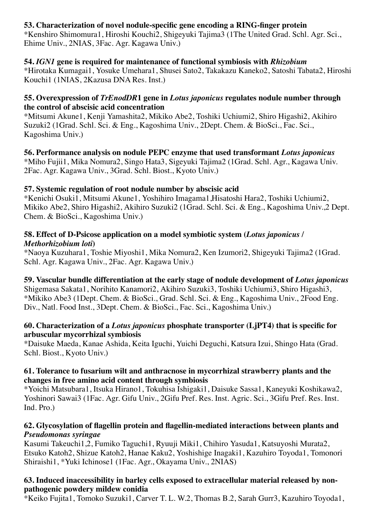#### **53. Characterization of novel nodule-specific gene encoding a RING-finger protein**

\*Kenshiro Shimomura1, Hiroshi Kouchi2, Shigeyuki Tajima3 (1The United Grad. Schl. Agr. Sci., Ehime Univ., 2NIAS, 3Fac. Agr. Kagawa Univ.)

#### **54.** *IGN1* **gene is required for maintenance of functional symbiosis with** *Rhizobium*

\*Hirotaka Kumagai1, Yosuke Umehara1, Shusei Sato2, Takakazu Kaneko2, Satoshi Tabata2, Hiroshi Kouchi1 (1NIAS, 2Kazusa DNA Res. Inst.)

#### **55. Overexpression of** *TrEnodDR***1 gene in** *Lotus japonicus* **regulates nodule number through the control of abscisic acid concentration**

\*Mitsumi Akune1, Kenji Yamashita2, Mikiko Abe2, Toshiki Uchiumi2, Shiro Higashi2, Akihiro Suzuki2 (1Grad. Schl. Sci. & Eng., Kagoshima Univ., 2Dept. Chem. & BioSci., Fac. Sci., Kagoshima Univ.)

**56. Performance analysis on nodule PEPC enzyme that used transformant** *Lotus japonicus* \*Miho Fujii1, Mika Nomura2, Singo Hata3, Sigeyuki Tajima2 (1Grad. Schl. Agr., Kagawa Univ. 2Fac. Agr. Kagawa Univ., 3Grad. Schl. Biost., Kyoto Univ.)

#### **57. Systemic regulation of root nodule number by abscisic acid**

\*Kenichi Osuki1, Mitsumi Akune1, Yoshihiro Imagama1,Hisatoshi Hara2, Toshiki Uchiumi2, Mikiko Abe2, Shiro Higashi2, Akihiro Suzuki2 (1Grad. Schl. Sci. & Eng., Kagoshima Univ.,2 Dept. Chem. & BioSci., Kagoshima Univ.)

#### **58. Effect of D-Psicose application on a model symbiotic system (***Lotus japonicus* **/** *Methorhizobium loti***)**

\*Naoya Kuzuhara1, Toshie Miyoshi1, Mika Nomura2, Ken Izumori2, Shigeyuki Tajima2 (1Grad. Schl. Agr. Kagawa Univ., 2Fac. Agr. Kagawa Univ.)

#### **59. Vascular bundle differentiation at the early stage of nodule development of** *Lotus japonicus*

Shigemasa Sakata1, Norihito Kanamori2, Akihiro Suzuki3, Toshiki Uchiumi3, Shiro Higashi3, \*Mikiko Abe3 (1Dept. Chem. & BioSci., Grad. Schl. Sci. & Eng., Kagoshima Univ., 2Food Eng. Div., Natl. Food Inst., 3Dept. Chem. & BioSci., Fac. Sci., Kagoshima Univ.)

#### **60. Characterization of a** *Lotus japonicus* **phosphate transporter (LjPT4) that is specific for arbuscular mycorrhizal symbiosis**

\*Daisuke Maeda, Kanae Ashida, Keita Iguchi, Yuichi Deguchi, Katsura Izui, Shingo Hata (Grad. Schl. Biost., Kyoto Univ.)

#### **61. Tolerance to fusarium wilt and anthracnose in mycorrhizal strawberry plants and the changes in free amino acid content through symbiosis**

\*Yoichi Matsubara1, Itsuka Hirano1, Tokuhisa Ishigaki1, Daisuke Sassa1, Kaneyuki Koshikawa2, Yoshinori Sawai3 (1Fac. Agr. Gifu Univ., 2Gifu Pref. Res. Inst. Agric. Sci., 3Gifu Pref. Res. Inst. Ind. Pro.)

#### **62. Glycosylation of flagellin protein and flagellin-mediated interactions between plants and** *Pseudomonas syringae*

Kasumi Takeuchi1,2, Fumiko Taguchi1, Ryuuji Miki1, Chihiro Yasuda1, Katsuyoshi Murata2, Etsuko Katoh2, Shizue Katoh2, Hanae Kaku2, Yoshishige Inagaki1, Kazuhiro Toyoda1, Tomonori Shiraishi1, \*Yuki Ichinose1 (1Fac. Agr., Okayama Univ., 2NIAS)

#### **63. Induced inaccessibility in barley cells exposed to extracellular material released by nonpathogenic powdery mildew conidia**

\*Keiko Fujita1, Tomoko Suzuki1, Carver T. L. W.2, Thomas B.2, Sarah Gurr3, Kazuhiro Toyoda1,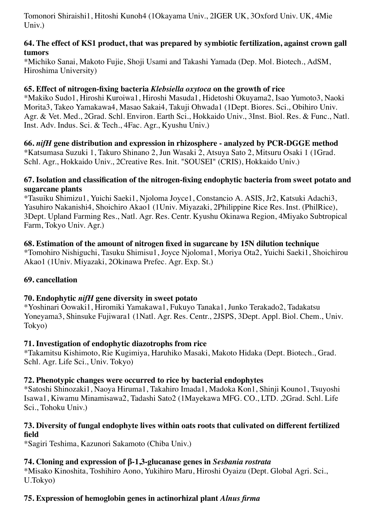Tomonori Shiraishi1, Hitoshi Kunoh4 (1Okayama Univ., 2IGER UK, 3Oxford Univ. UK, 4Mie Univ.)

#### **64. The effect of KS1 product, that was prepared by symbiotic fertilization, against crown gall tumors**

\*Michiko Sanai, Makoto Fujie, Shoji Usami and Takashi Yamada (Dep. Mol. Biotech., AdSM, Hiroshima University)

#### **65. Effect of nitrogen-fixing bacteria** *Klebsiella oxytoca* **on the growth of rice**

\*Makiko Sudo1, Hiroshi Kuroiwa1, Hiroshi Masuda1, Hidetoshi Okuyama2, Isao Yumoto3, Naoki Morita3, Takeo Yamakawa4, Masao Sakai4, Takuji Ohwada1 (1Dept. Biores. Sci., Obihiro Univ. Agr. & Vet. Med., 2Grad. Schl. Environ. Earth Sci., Hokkaido Univ., 3Inst. Biol. Res. & Func., Natl. Inst. Adv. Indus. Sci. & Tech., 4Fac. Agr., Kyushu Univ.)

#### **66.** *nifH* **gene distribution and expression in rhizosphere - analyzed by PCR-DGGE method**

\*Katsumasa Suzuki 1, Takuro Shinano 2, Jun Wasaki 2, Atsuya Sato 2, Mitsuru Osaki 1 (1Grad. Schl. Agr., Hokkaido Univ., 2Creative Res. Init. "SOUSEI" (CRIS), Hokkaido Univ.)

#### **67. Isolation and classification of the nitrogen-fixing endophytic bacteria from sweet potato and sugarcane plants**

\*Tasuiku Shimizu1, Yuichi Saeki1, Njoloma Joyce1, Constancio A. ASIS, Jr2, Katsuki Adachi3, Yasuhiro Nakanishi4, Shoichiro Akao1 (1Univ. Miyazaki, 2Philippine Rice Res. Inst. (PhilRice), 3Dept. Upland Farming Res., Natl. Agr. Res. Centr. Kyushu Okinawa Region, 4Miyako Subtropical Farm, Tokyo Univ. Agr.)

#### **68. Estimation of the amount of nitrogen fixed in sugarcane by 15N dilution technique**

\*Tomohiro Nishiguchi, Tasuku Shimisu1, Joyce Njoloma1, Moriya Ota2, Yuichi Saeki1, Shoichirou Akao1 (1Univ. Miyazaki, 2Okinawa Prefec. Agr. Exp. St.)

#### **69. cancellation**

#### **70. Endophytic** *nifH* **gene diversity in sweet potato**

\*Yoshinari Oowaki1, Hiromiki Yamakawa1, Fukuyo Tanaka1, Junko Terakado2, Tadakatsu Yoneyama3, Shinsuke Fujiwara1 (1Natl. Agr. Res. Centr., 2JSPS, 3Dept. Appl. Biol. Chem., Univ. Tokyo)

#### **71. Investigation of endophytic diazotrophs from rice**

\*Takamitsu Kishimoto, Rie Kugimiya, Haruhiko Masaki, Makoto Hidaka (Dept. Biotech., Grad. Schl. Agr. Life Sci., Univ. Tokyo)

#### **72. Phenotypic changes were occurred to rice by bacterial endophytes**

\*Satoshi Shinozaki1, Naoya Hiruma1, Takahiro Imada1, Madoka Kon1, Shinji Kouno1, Tsuyoshi Isawa1, Kiwamu Minamisawa2, Tadashi Sato2 (1Mayekawa MFG. CO., LTD. ,2Grad. Schl. Life Sci., Tohoku Univ.)

#### **73. Diversity of fungal endophyte lives within oats roots that culivated on different fertilized field**

\*Sagiri Teshima, Kazunori Sakamoto (Chiba Univ.)

#### **74. Cloning and expression of β-1,3-glucanase genes in** *Sesbania rostrata*

\*Misako Kinoshita, Toshihiro Aono, Yukihiro Maru, Hiroshi Oyaizu (Dept. Global Agri. Sci., U.Tokyo)

#### **75. Expression of hemoglobin genes in actinorhizal plant** *Alnus firma*